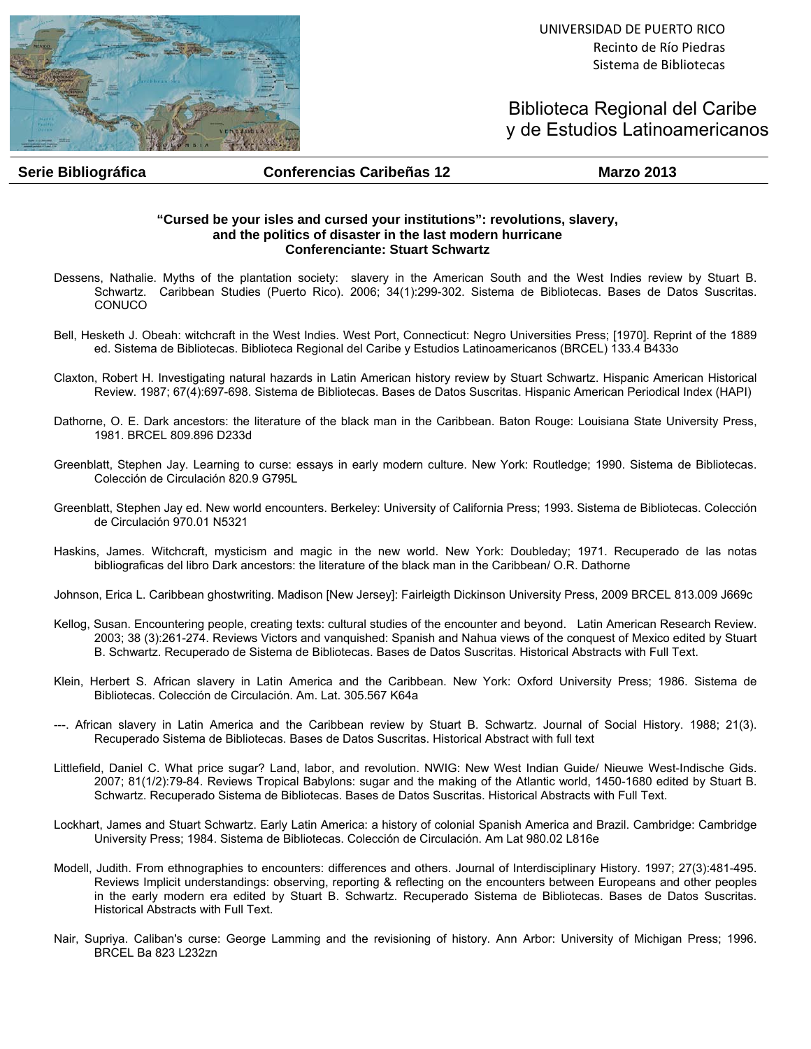

UNIVERSIDAD DE PUERTO RICO Recinto de Río Piedras Sistema de Bibliotecas

Biblioteca Regional del Caribe y de Estudios Latinoamericanos

## **Serie Bibliográfica Conferencias Caribeñas 12 Marzo 2013**

## **"Cursed be your isles and cursed your institutions": revolutions, slavery, and the politics of disaster in the last modern hurricane Conferenciante: Stuart Schwartz**

- Dessens, Nathalie. Myths of the plantation society: slavery in the American South and the West Indies review by Stuart B. Schwartz. Caribbean Studies (Puerto Rico). 2006; 34(1):299-302. Sistema de Bibliotecas. Bases de Datos Suscritas. CONUCO
- Bell, Hesketh J. Obeah: witchcraft in the West Indies. West Port, Connecticut: Negro Universities Press; [1970]. Reprint of the 1889 ed. Sistema de Bibliotecas. Biblioteca Regional del Caribe y Estudios Latinoamericanos (BRCEL) 133.4 B433o
- Claxton, Robert H. Investigating natural hazards in Latin American history review by Stuart Schwartz. Hispanic American Historical Review. 1987; 67(4):697-698. Sistema de Bibliotecas. Bases de Datos Suscritas. Hispanic American Periodical Index (HAPI)
- Dathorne, O. E. Dark ancestors: the literature of the black man in the Caribbean. Baton Rouge: Louisiana State University Press, 1981. BRCEL 809.896 D233d
- Greenblatt, Stephen Jay. Learning to curse: essays in early modern culture. New York: Routledge; 1990. Sistema de Bibliotecas. Colección de Circulación 820.9 G795L
- Greenblatt, Stephen Jay ed. New world encounters. Berkeley: University of California Press; 1993. Sistema de Bibliotecas. Colección de Circulación 970.01 N5321
- Haskins, James. Witchcraft, mysticism and magic in the new world. New York: Doubleday; 1971. Recuperado de las notas bibliograficas del libro Dark ancestors: the literature of the black man in the Caribbean/ O.R. Dathorne
- Johnson, Erica L. Caribbean ghostwriting. Madison [New Jersey]: Fairleigth Dickinson University Press, 2009 BRCEL 813.009 J669c
- Kellog, Susan. Encountering people, creating texts: cultural studies of the encounter and beyond. Latin American Research Review. 2003; 38 (3):261-274. Reviews Victors and vanquished: Spanish and Nahua views of the conquest of Mexico edited by Stuart B. Schwartz. Recuperado de Sistema de Bibliotecas. Bases de Datos Suscritas. Historical Abstracts with Full Text.
- Klein, Herbert S. African slavery in Latin America and the Caribbean. New York: Oxford University Press; 1986. Sistema de Bibliotecas. Colección de Circulación. Am. Lat. 305.567 K64a
- ---. African slavery in Latin America and the Caribbean review by Stuart B. Schwartz. Journal of Social History. 1988; 21(3). Recuperado Sistema de Bibliotecas. Bases de Datos Suscritas. Historical Abstract with full text
- Littlefield, Daniel C. What price sugar? Land, labor, and revolution. NWIG: New West Indian Guide/ Nieuwe West-Indische Gids. 2007; 81(1/2):79-84. Reviews Tropical Babylons: sugar and the making of the Atlantic world, 1450-1680 edited by Stuart B. Schwartz. Recuperado Sistema de Bibliotecas. Bases de Datos Suscritas. Historical Abstracts with Full Text.
- Lockhart, James and Stuart Schwartz. Early Latin America: a history of colonial Spanish America and Brazil. Cambridge: Cambridge University Press; 1984. Sistema de Bibliotecas. Colección de Circulación. Am Lat 980.02 L816e
- Modell, Judith. From ethnographies to encounters: differences and others. Journal of Interdisciplinary History. 1997; 27(3):481-495. Reviews Implicit understandings: observing, reporting & reflecting on the encounters between Europeans and other peoples in the early modern era edited by Stuart B. Schwartz. Recuperado Sistema de Bibliotecas. Bases de Datos Suscritas. Historical Abstracts with Full Text.
- Nair, Supriya. Caliban's curse: George Lamming and the revisioning of history. Ann Arbor: University of Michigan Press; 1996. BRCEL Ba 823 L232zn